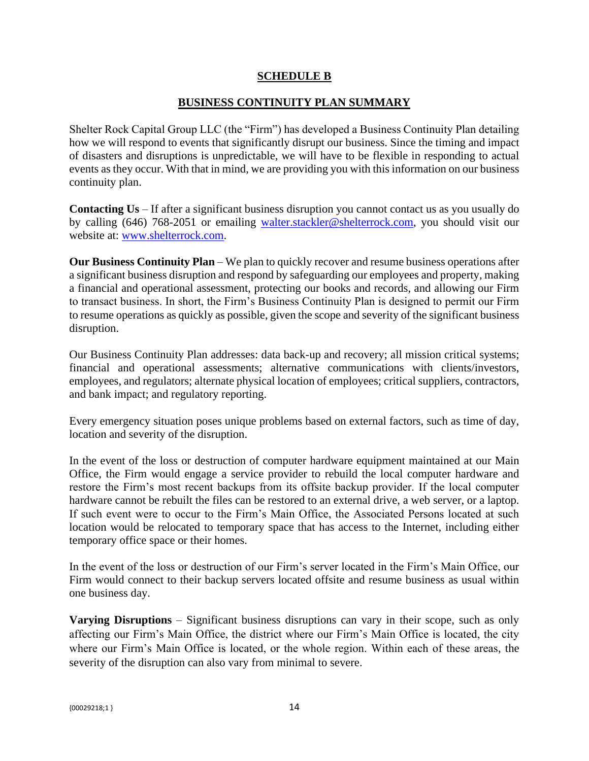## **SCHEDULE B**

## **BUSINESS CONTINUITY PLAN SUMMARY**

Shelter Rock Capital Group LLC (the "Firm") has developed a Business Continuity Plan detailing how we will respond to events that significantly disrupt our business. Since the timing and impact of disasters and disruptions is unpredictable, we will have to be flexible in responding to actual events as they occur. With that in mind, we are providing you with this information on our business continuity plan.

**Contacting Us** – If after a significant business disruption you cannot contact us as you usually do by calling (646) 768-2051 or emailing walter.stackler@shelterrock.com, you should visit our website at: www.shelterrock.com.

**Our Business Continuity Plan** – We plan to quickly recover and resume business operations after a significant business disruption and respond by safeguarding our employees and property, making a financial and operational assessment, protecting our books and records, and allowing our Firm to transact business. In short, the Firm's Business Continuity Plan is designed to permit our Firm to resume operations as quickly as possible, given the scope and severity of the significant business disruption.

Our Business Continuity Plan addresses: data back-up and recovery; all mission critical systems; financial and operational assessments; alternative communications with clients/investors, employees, and regulators; alternate physical location of employees; critical suppliers, contractors, and bank impact; and regulatory reporting.

Every emergency situation poses unique problems based on external factors, such as time of day, location and severity of the disruption.

In the event of the loss or destruction of computer hardware equipment maintained at our Main Office, the Firm would engage a service provider to rebuild the local computer hardware and restore the Firm's most recent backups from its offsite backup provider. If the local computer hardware cannot be rebuilt the files can be restored to an external drive, a web server, or a laptop. If such event were to occur to the Firm's Main Office, the Associated Persons located at such location would be relocated to temporary space that has access to the Internet, including either temporary office space or their homes.

In the event of the loss or destruction of our Firm's server located in the Firm's Main Office, our Firm would connect to their backup servers located offsite and resume business as usual within one business day.

**Varying Disruptions** – Significant business disruptions can vary in their scope, such as only affecting our Firm's Main Office, the district where our Firm's Main Office is located, the city where our Firm's Main Office is located, or the whole region. Within each of these areas, the severity of the disruption can also vary from minimal to severe.